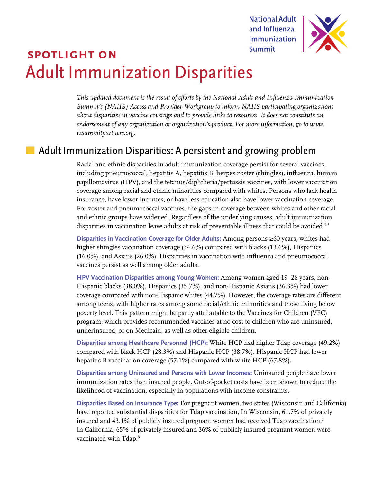**National Adult** and Influenza **Immunization Summit** 



# **spotlight on** Adult Immunization Disparities

*This updated document is the result of efforts by the National Adult and Influenza Immunization Summit's (NAIIS) Access and Provider Workgroup to inform NAIIS participating organizations about disparities in vaccine coverage and to provide links to resources. It does not constitute an endorsement of any organization or organization's product. For more information, go to [www.](http://www.izsummitpartners.org) [izsummitpartners.org.](http://www.izsummitpartners.org)* 

## $\blacksquare$  Adult Immunization Disparities: A persistent and growing problem

Racial and ethnic disparities in adult immunization coverage persist for several vaccines, including pneumococcal, hepatitis A, hepatitis B, herpes zoster (shingles), influenza, human papillomavirus (HPV), and the tetanus/diphtheria/pertussis vaccines, with lower vaccination coverage among racial and ethnic minorities compared with whites. Persons who lack health insurance, have lower incomes, or have less education also have lower vaccination coverage. For zoster and pneumococcal vaccines, the gaps in coverage between whites and other racial and ethnic groups have widened. Regardless of the underlying causes, adult immunization disparities in vaccination leave adults at risk of preventable illness that could be avoided.<sup>16</sup>

**Disparities in Vaccination Coverage for Older Adults:** Among persons ≥60 years, whites had higher shingles vaccination coverage (34.6%) compared with blacks (13.6%), Hispanics (16.0%), and Asians (26.0%). Disparities in vaccination with influenza and pneumococcal vaccines persist as well among older adults.

**HPV Vaccination Disparities among Young Women:** Among women aged 19–26 years, non-Hispanic blacks (38.0%), Hispanics (35.7%), and non-Hispanic Asians (36.3%) had lower coverage compared with non-Hispanic whites (44.7%). However, the coverage rates are different among teens, with higher rates among some racial/ethnic minorities and those living below poverty level. This pattern might be partly attributable to the Vaccines for Children (VFC) program, which provides recommended vaccines at no cost to children who are uninsured, underinsured, or on Medicaid, as well as other eligible children.

**Disparities among Healthcare Personnel (HCP):** White HCP had higher Tdap coverage (49.2%) compared with black HCP (28.3%) and Hispanic HCP (38.7%). Hispanic HCP had lower hepatitis B vaccination coverage (57.1%) compared with white HCP (67.8%).

**Disparities among Uninsured and Persons with Lower Incomes:** Uninsured people have lower immunization rates than insured people. Out-of-pocket costs have been shown to reduce the likelihood of vaccination, especially in populations with income constraints.

**Disparities Based on Insurance Type:** For pregnant women, two states (Wisconsin and California) have reported substantial disparities for Tdap vaccination, In Wisconsin, 61.7% of privately insured and 43.1% of publicly insured pregnant women had received Tdap vaccination. $^7$ In California, 65% of privately insured and 36% of publicly insured pregnant women were vaccinated with Tdap.8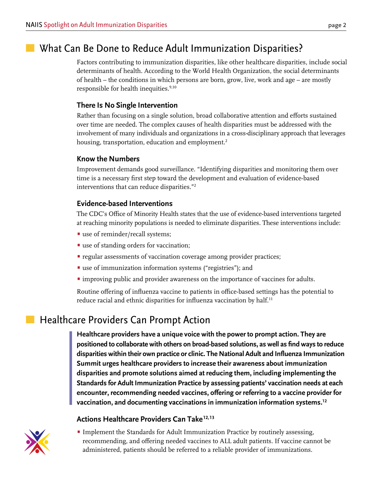## What Can Be Done to Reduce Adult Immunization Disparities?

Factors contributing to immunization disparities, like other healthcare disparities, include social determinants of health. According to the World Health Organization, the social determinants of health – the conditions in which persons are born, grow, live, work and age – are mostly responsible for health inequities.<sup>9,10</sup>

### **There Is No Single Intervention**

Rather than focusing on a single solution, broad collaborative attention and efforts sustained over time are needed. The complex causes of health disparities must be addressed with the involvement of many individuals and organizations in a cross-disciplinary approach that leverages housing, transportation, education and employment.<sup>2</sup>

#### **Know the Numbers**

Improvement demands good surveillance. "Identifying disparities and monitoring them over time is a necessary first step toward the development and evaluation of evidence-based interventions that can reduce disparities."<sup>2</sup>

### **Evidence-based Interventions**

The CDC's Office of Minority Health states that the use of evidence-based interventions targeted at reaching minority populations is needed to eliminate disparities. These interventions include:

- use of reminder/recall systems;
- use of standing orders for vaccination;
- regular assessments of vaccination coverage among provider practices;
- use of immunization information systems ("registries"); and
- improving public and provider awareness on the importance of vaccines for adults.

Routine offering of influenza vaccine to patients in office-based settings has the potential to reduce racial and ethnic disparities for influenza vaccination by half.<sup>11</sup>

## **Healthcare Providers Can Prompt Action**

**Healthcare providers have a unique voice with the power to prompt action. They are positioned to collaborate with others on broad-based solutions, as well as find ways to reduce disparities within their own practice or clinic. The National Adult and Influenza Immunization Summit urges healthcare providers to increase their awareness about immunization disparities and promote solutions aimed at reducing them, including implementing the Standards for Adult Immunization Practice by assessing patients' vaccination needs at each encounter, recommending needed vaccines, offering or referring to a vaccine provider for vaccination, and documenting vaccinations in immunization information systems.<sup>12</sup>**

### Actions Healthcare Providers Can Take<sup>12,13</sup>

• Implement the Standards for Adult Immunization Practice by routinely assessing, recommending, and offering needed vaccines to ALL adult patients. If vaccine cannot be administered, patients should be referred to a reliable provider of immunizations.